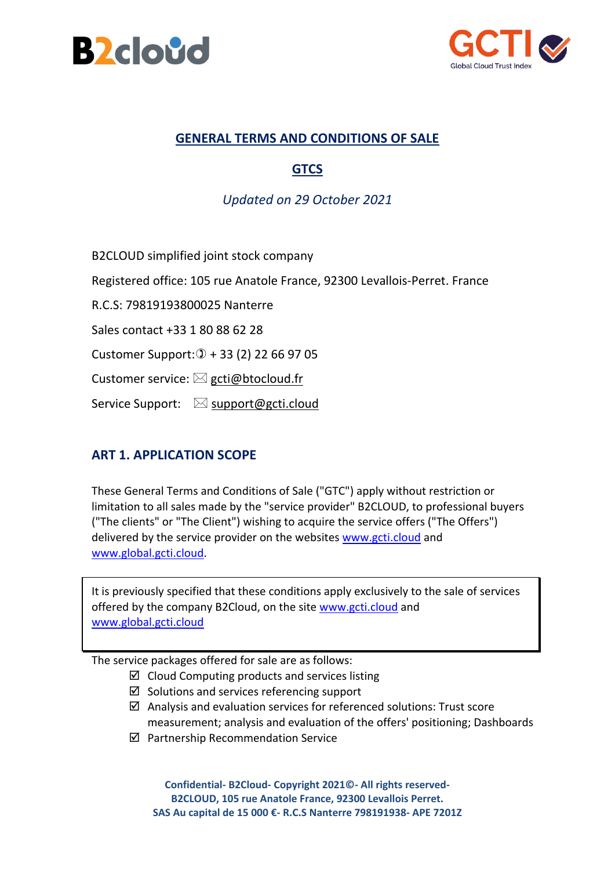



### **GENERAL TERMS AND CONDITIONS OF SALE**

# **GTCS**

### *Updated on 29 October 2021*

B2CLOUD simplified joint stock company

Registered office: 105 rue Anatole France, 92300 Levallois-Perret. France

R.C.S: 79819193800025 Nanterre

Sales contact +33 1 80 88 62 28

Customer Support:  $(1) + 33$  (2) 22 66 97 05

Customer service:  $\boxtimes$  [gcti@btocloud.fr](mailto:gcti@btocloud.fr)

Service Support:  $\boxtimes$  [support@gcti.cloud](mailto:support@gcti.cloud)

### **ART 1. APPLICATION SCOPE**

These General Terms and Conditions of Sale ("GTC") apply without restriction or limitation to all sales made by the "service provider" B2CLOUD, to professional buyers ("The clients" or "The Client") wishing to acquire the service offers ("The Offers") delivered by the service provider on the websites [www.gcti.cloud](http://www.gcti.cloud/) and [www.global.gcti.cloud.](http://www.global.gcti.cloud/)

It is previously specified that these conditions apply exclusively to the sale of services offered by the company B2Cloud, on the site [www.gcti.cloud](http://www.gcti.cloud/) and [www.global.gcti.cloud](http://www.global.gcti.cloud/)

The service packages offered for sale are as follows:

- $\boxtimes$  Cloud Computing products and services listing
- $\boxtimes$  Solutions and services referencing support
- $\boxtimes$  Analysis and evaluation services for referenced solutions: Trust score measurement; analysis and evaluation of the offers' positioning; Dashboards
- $\boxtimes$  Partnership Recommendation Service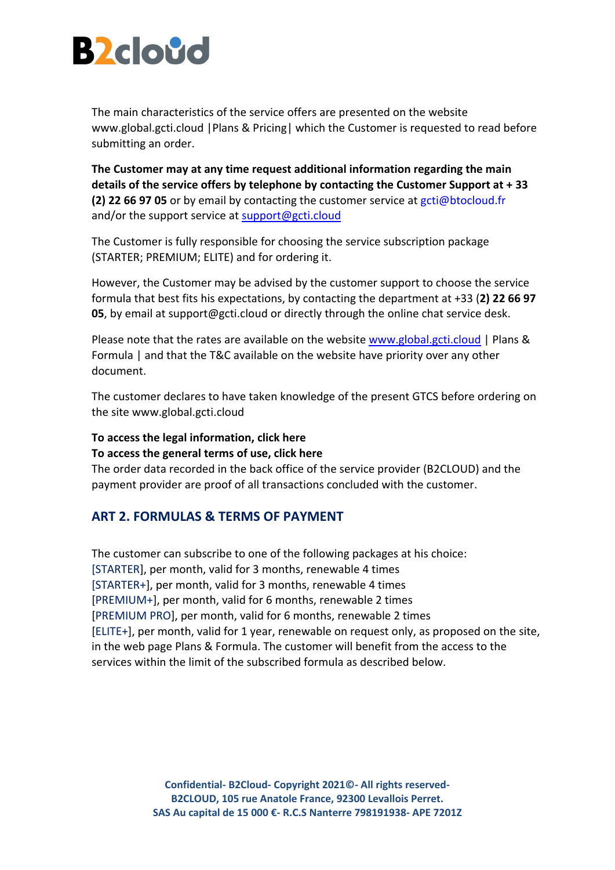

The main characteristics of the service offers are presented on the website www.global.gcti.cloud |Plans & Pricing| which the Customer is requested to read before submitting an order.

**The Customer may at any time request additional information regarding the main details of the service offers by telephone by contacting the Customer Support at + 33 (2) 22 66 97 05** or by email by contacting the customer service at [gcti@btocloud.fr](mailto:gcti@btocloud.fr) and/or the support service at [support@gcti.cloud](file:///C:/Users/prebotte/Documents/B2Cloud/GCTI/marketing/support@gcti.cloud)

The Customer is fully responsible for choosing the service subscription package (STARTER; PREMIUM; ELITE) and for ordering it.

However, the Customer may be advised by the customer support to choose the service formula that best fits his expectations, by contacting the department at +33 (**2) 22 66 97 05**, by email at support@gcti.cloud or directly through the online chat service desk.

Please note that the rates are available on the website [www.global.gcti.cloud](http://www.global.gcti.cloud/) | Plans & Formula | and that the T&C available on the website have priority over any other document.

The customer declares to have taken knowledge of the present GTCS before ordering on the site www.global.gcti.cloud

#### **To access the legal information, click here**

#### **To access the general terms of use, click here**

The order data recorded in the back office of the service provider (B2CLOUD) and the payment provider are proof of all transactions concluded with the customer.

#### **ART 2. FORMULAS & TERMS OF PAYMENT**

The customer can subscribe to one of the following packages at his choice: [STARTER], per month, valid for 3 months, renewable 4 times [STARTER+], per month, valid for 3 months, renewable 4 times [PREMIUM+], per month, valid for 6 months, renewable 2 times [PREMIUM PRO], per month, valid for 6 months, renewable 2 times [ELITE+], per month, valid for 1 year, renewable on request only, as proposed on the site, in the web page Plans & Formula. The customer will benefit from the access to the services within the limit of the subscribed formula as described below.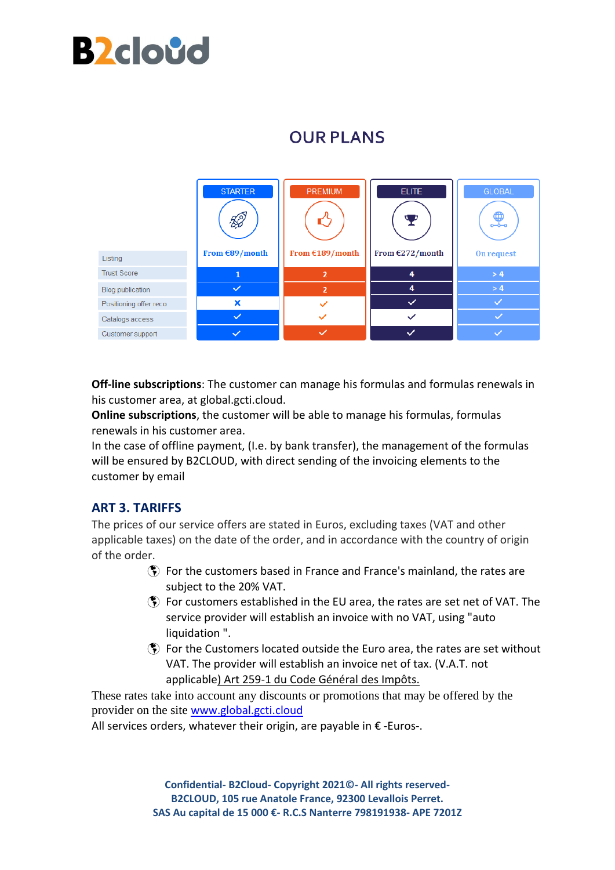

# **OUR PLANS**



**Off-line subscriptions**: The customer can manage his formulas and formulas renewals in his customer area, at global.gcti.cloud.

**Online subscriptions**, the customer will be able to manage his formulas, formulas renewals in his customer area.

In the case of offline payment, (I.e. by bank transfer), the management of the formulas will be ensured by B2CLOUD, with direct sending of the invoicing elements to the customer by email

### **ART 3. TARIFFS**

The prices of our service offers are stated in Euros, excluding taxes (VAT and other applicable taxes) on the date of the order, and in accordance with the country of origin of the order.

- For the customers based in France and France's mainland, the rates are subject to the 20% VAT.
- $$$  For customers established in the EU area, the rates are set net of VAT. The service provider will establish an invoice with no VAT, using "auto liquidation ".
- $$$  For the Customers located outside the Euro area, the rates are set without VAT. The provider will establish an invoice net of tax. (V.A.T. not applicable) Art 259-1 du Code Général des Impôts.

These rates take into account any discounts or promotions that may be offered by the provider on the site [www.global.gcti.cloud](http://www.global.gcti.cloud/)

All services orders, whatever their origin, are payable in  $\epsilon$  -Euros-.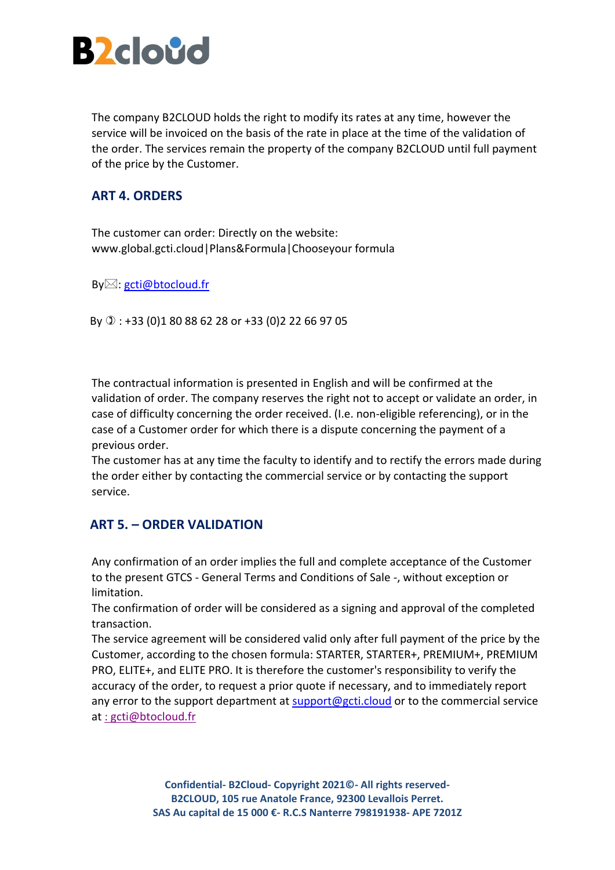

The company B2CLOUD holds the right to modify its rates at any time, however the service will be invoiced on the basis of the rate in place at the time of the validation of the order. The services remain the property of the company B2CLOUD until full payment of the price by the Customer.

### **ART 4. ORDERS**

The customer can order: Directly on the website: www.global.gcti.cloud|Plans&Formula|Chooseyour formula

By⊠: [gcti@btocloud.fr](mailto:gcti@btocloud.fr)

By : +33 (0)1 80 88 62 28 or +33 (0)2 22 66 97 05

The contractual information is presented in English and will be confirmed at the validation of order. The company reserves the right not to accept or validate an order, in case of difficulty concerning the order received. (I.e. non-eligible referencing), or in the case of a Customer order for which there is a dispute concerning the payment of a previous order.

The customer has at any time the faculty to identify and to rectify the errors made during the order either by contacting the commercial service or by contacting the support service.

### **ART 5. – ORDER VALIDATION**

Any confirmation of an order implies the full and complete acceptance of the Customer to the present GTCS - General Terms and Conditions of Sale -, without exception or limitation.

The confirmation of order will be considered as a signing and approval of the completed transaction.

The service agreement will be considered valid only after full payment of the price by the Customer, according to the chosen formula: STARTER, STARTER+, PREMIUM+, PREMIUM PRO, ELITE+, and ELITE PRO. It is therefore the customer's responsibility to verify the accuracy of the order, to request a prior quote if necessary, and to immediately report any error to the support department at [support@gcti.cloud](mailto:support@gcti.cloud) or to the commercial service at [: gcti@btocloud.fr](mailto::%20gcti@btocloud.fr)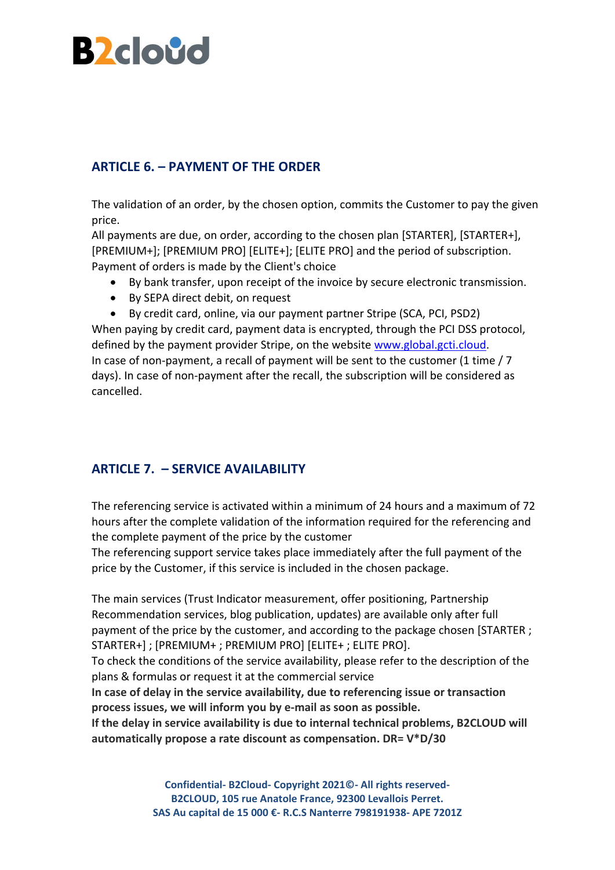

## **ARTICLE 6. – PAYMENT OF THE ORDER**

The validation of an order, by the chosen option, commits the Customer to pay the given price.

All payments are due, on order, according to the chosen plan [STARTER], [STARTER+], [PREMIUM+]; [PREMIUM PRO] [ELITE+]; [ELITE PRO] and the period of subscription. Payment of orders is made by the Client's choice

- By bank transfer, upon receipt of the invoice by secure electronic transmission.
- By SEPA direct debit, on request
- By credit card, online, via our payment partner Stripe (SCA, PCI, PSD2)

When paying by credit card, payment data is encrypted, through the PCI DSS protocol, defined by the payment provider Stripe, on the website [www.global.gcti.cloud.](http://www.global.gcti.cloud/) In case of non-payment, a recall of payment will be sent to the customer (1 time / 7 days). In case of non-payment after the recall, the subscription will be considered as cancelled.

### **ARTICLE 7. – SERVICE AVAILABILITY**

The referencing service is activated within a minimum of 24 hours and a maximum of 72 hours after the complete validation of the information required for the referencing and the complete payment of the price by the customer

The referencing support service takes place immediately after the full payment of the price by the Customer, if this service is included in the chosen package.

The main services (Trust Indicator measurement, offer positioning, Partnership Recommendation services, blog publication, updates) are available only after full payment of the price by the customer, and according to the package chosen [STARTER ; STARTER+] ; [PREMIUM+ ; PREMIUM PRO] [ELITE+ ; ELITE PRO].

To check the conditions of the service availability, please refer to the description of the plans & formulas or request it at the commercial service

**In case of delay in the service availability, due to referencing issue or transaction process issues, we will inform you by e-mail as soon as possible.** 

**If the delay in service availability is due to internal technical problems, B2CLOUD will automatically propose a rate discount as compensation. DR= V\*D/30**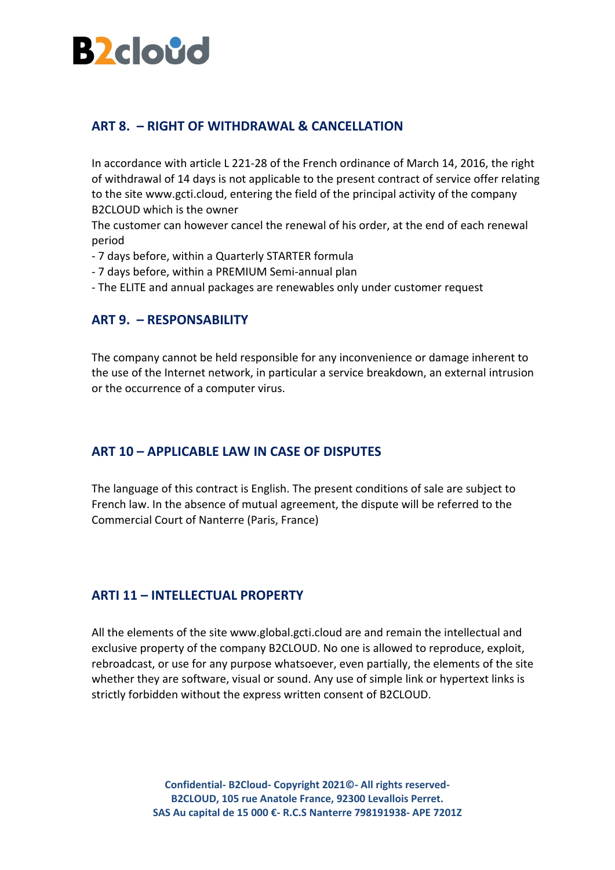

### **ART 8. – RIGHT OF WITHDRAWAL & CANCELLATION**

In accordance with article L 221-28 of the French ordinance of March 14, 2016, the right of withdrawal of 14 days is not applicable to the present contract of service offer relating to the site www.gcti.cloud, entering the field of the principal activity of the company B2CLOUD which is the owner

The customer can however cancel the renewal of his order, at the end of each renewal period

- 7 days before, within a Quarterly STARTER formula
- 7 days before, within a PREMIUM Semi-annual plan
- The ELITE and annual packages are renewables only under customer request

#### **ART 9. – RESPONSABILITY**

The company cannot be held responsible for any inconvenience or damage inherent to the use of the Internet network, in particular a service breakdown, an external intrusion or the occurrence of a computer virus.

### **ART 10 – APPLICABLE LAW IN CASE OF DISPUTES**

The language of this contract is English. The present conditions of sale are subject to French law. In the absence of mutual agreement, the dispute will be referred to the Commercial Court of Nanterre (Paris, France)

#### **ARTI 11 – INTELLECTUAL PROPERTY**

All the elements of the site www.global.gcti.cloud are and remain the intellectual and exclusive property of the company B2CLOUD. No one is allowed to reproduce, exploit, rebroadcast, or use for any purpose whatsoever, even partially, the elements of the site whether they are software, visual or sound. Any use of simple link or hypertext links is strictly forbidden without the express written consent of B2CLOUD.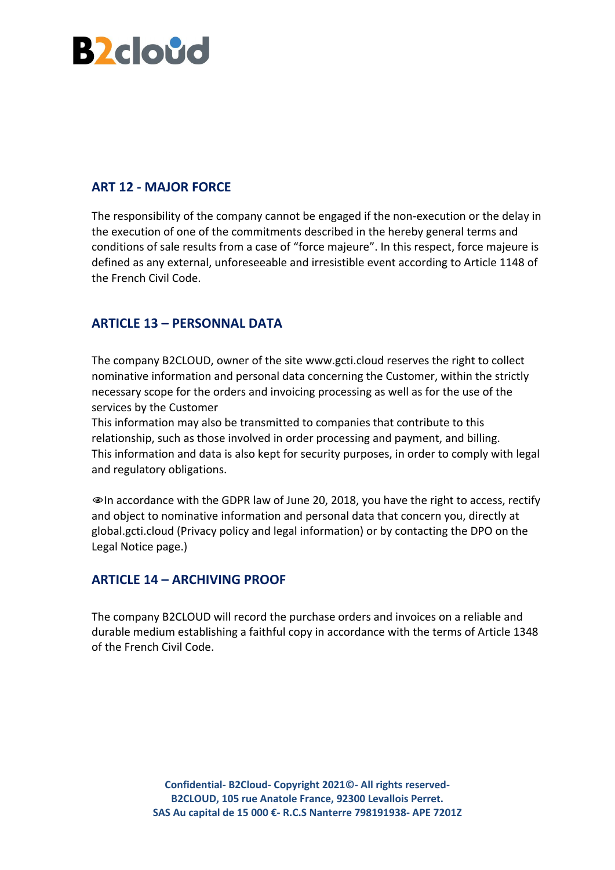

### **ART 12 - MAJOR FORCE**

The responsibility of the company cannot be engaged if the non-execution or the delay in the execution of one of the commitments described in the hereby general terms and conditions of sale results from a case of "force majeure". In this respect, force majeure is defined as any external, unforeseeable and irresistible event according to Article 1148 of the French Civil Code.

### **ARTICLE 13 – PERSONNAL DATA**

The company B2CLOUD, owner of the site www.gcti.cloud reserves the right to collect nominative information and personal data concerning the Customer, within the strictly necessary scope for the orders and invoicing processing as well as for the use of the services by the Customer

This information may also be transmitted to companies that contribute to this relationship, such as those involved in order processing and payment, and billing. This information and data is also kept for security purposes, in order to comply with legal and regulatory obligations.

In accordance with the GDPR law of June 20, 2018, you have the right to access, rectify and object to nominative information and personal data that concern you, directly at global.gcti.cloud (Privacy policy and legal information) or by contacting the DPO on the Legal Notice page.)

### **ARTICLE 14 – ARCHIVING PROOF**

The company B2CLOUD will record the purchase orders and invoices on a reliable and durable medium establishing a faithful copy in accordance with the terms of Article 1348 of the French Civil Code.